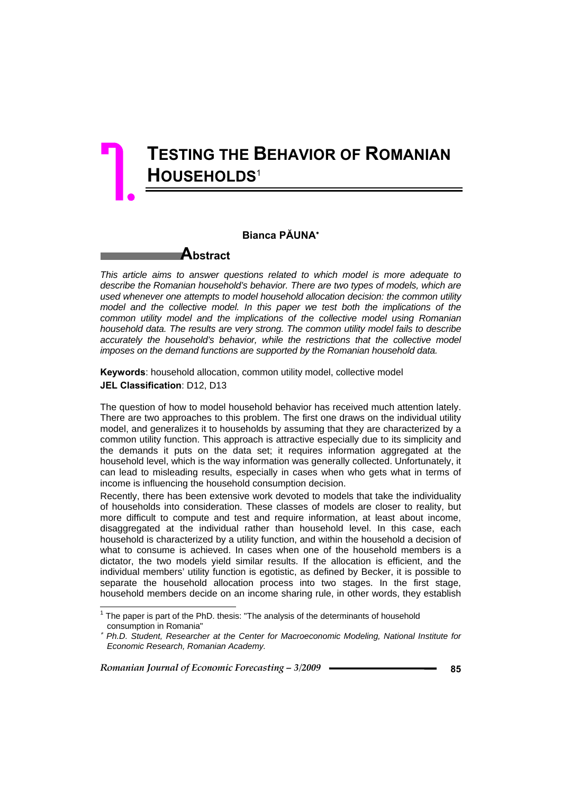# **TESTING THE BEHAVIOR OF ROMANIAN HOUSEHOLDS**<sup>1</sup> 7.

### **Bianca PĂUNA**<sup>∗</sup>

**Abstract** 

*This article aims to answer questions related to which model is more adequate to describe the Romanian household's behavior. There are two types of models, which are used whenever one attempts to model household allocation decision: the common utility model and the collective model. In this paper we test both the implications of the common utility model and the implications of the collective model using Romanian household data. The results are very strong. The common utility model fails to describe accurately the household's behavior, while the restrictions that the collective model imposes on the demand functions are supported by the Romanian household data.* 

**Keywords**: household allocation, common utility model, collective model **JEL Classification**: D12, D13

The question of how to model household behavior has received much attention lately. There are two approaches to this problem. The first one draws on the individual utility model, and generalizes it to households by assuming that they are characterized by a common utility function. This approach is attractive especially due to its simplicity and the demands it puts on the data set; it requires information aggregated at the household level, which is the way information was generally collected. Unfortunately, it can lead to misleading results, especially in cases when who gets what in terms of income is influencing the household consumption decision.

Recently, there has been extensive work devoted to models that take the individuality of households into consideration. These classes of models are closer to reality, but more difficult to compute and test and require information, at least about income, disaggregated at the individual rather than household level. In this case, each household is characterized by a utility function, and within the household a decision of what to consume is achieved. In cases when one of the household members is a dictator, the two models yield similar results. If the allocation is efficient, and the individual members' utility function is egotistic, as defined by Becker, it is possible to separate the household allocation process into two stages. In the first stage, household members decide on an income sharing rule, in other words, they establish

*Romanian Journal of Economic Forecasting – 3/2009 and <b>1997 85 85* 

l

 $1$  The paper is part of the PhD. thesis: "The analysis of the determinants of household consumption in Romania"

<sup>∗</sup> *Ph.D. Student, Researcher at the Center for Macroeconomic Modeling, National Institute for Economic Research, Romanian Academy.*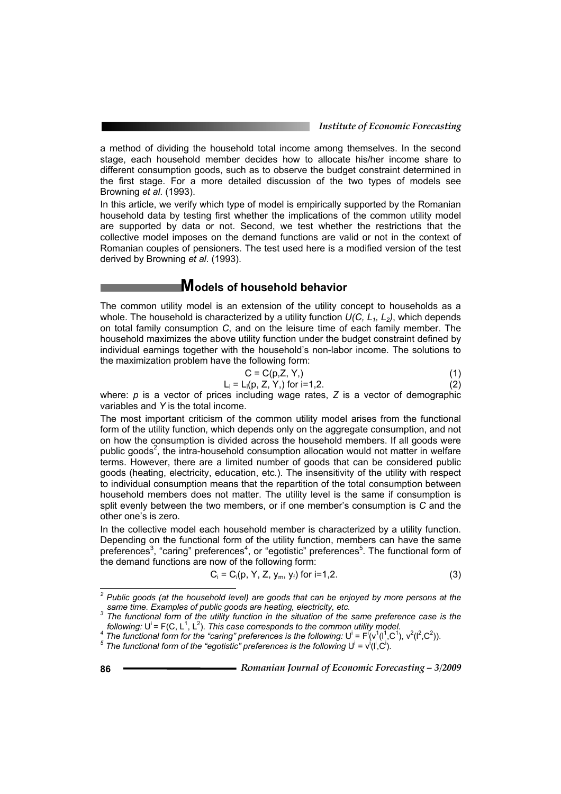a method of dividing the household total income among themselves. In the second stage, each household member decides how to allocate his/her income share to different consumption goods, such as to observe the budget constraint determined in the first stage. For a more detailed discussion of the two types of models see Browning *et al*. (1993).

In this article, we verify which type of model is empirically supported by the Romanian household data by testing first whether the implications of the common utility model are supported by data or not. Second, we test whether the restrictions that the collective model imposes on the demand functions are valid or not in the context of Romanian couples of pensioners. The test used here is a modified version of the test derived by Browning *et al*. (1993).

### **Models of household behavior**

The common utility model is an extension of the utility concept to households as a whole. The household is characterized by a utility function *U(C, L1, L2)*, which depends on total family consumption *C*, and on the leisure time of each family member. The household maximizes the above utility function under the budget constraint defined by individual earnings together with the household's non-labor income. The solutions to the maximization problem have the following form:

$$
C = C(p, Z, Y, )
$$
 (1)

$$
L_i = L_i(p, Z, Y_i) \text{ for } i = 1, 2. \tag{2}
$$

where: *p* is a vector of prices including wage rates, *Z* is a vector of demographic variables and *Y* is the total income.

The most important criticism of the common utility model arises from the functional form of the utility function, which depends only on the aggregate consumption, and not on how the consumption is divided across the household members. If all goods were public goods<sup>2</sup>, the intra-household consumption allocation would not matter in welfare terms. However, there are a limited number of goods that can be considered public goods (heating, electricity, education, etc.). The insensitivity of the utility with respect to individual consumption means that the repartition of the total consumption between household members does not matter. The utility level is the same if consumption is split evenly between the two members, or if one member's consumption is *C* and the other one's is zero.

In the collective model each household member is characterized by a utility function. Depending on the functional form of the utility function, members can have the same preferences<sup>3</sup>, "caring" preferences<sup>4</sup>, or "egotistic" preferences<sup>5</sup>. The functional form of the demand functions are now of the following form:

$$
C_i = C_i(p, Y, Z, y_m, y_f) \text{ for } i = 1, 2. \tag{3}
$$

 *2 Public goods (at the household level) are goods that can be enjoyed by more persons at the same time. Examples of public goods are heating, electricity, etc. 3*

<sup>&</sup>lt;sup>3</sup> The functional form of the utility function in the situation of the same preference case is the *following:*  $U^i$  = F(C, L<sup>1</sup>, L<sup>2</sup>

following: U<sup>i</sup> = F(C, L<sup>1</sup>, L<sup>2</sup>). This case corresponds to the common utility model.<br><sup>4</sup> The functional form for the "caring" preferences is the following: U<sup>i</sup> = F<sup>i</sup>(v<sup>1</sup>(l<sup>1</sup>,C<sup>1</sup>), v<sup>2</sup>(l<sup>2</sup>,C<sup>2</sup>)).

The functional form of the "egotistic" preferences is the following  $U^i = v^i(I^i, C^i)$ .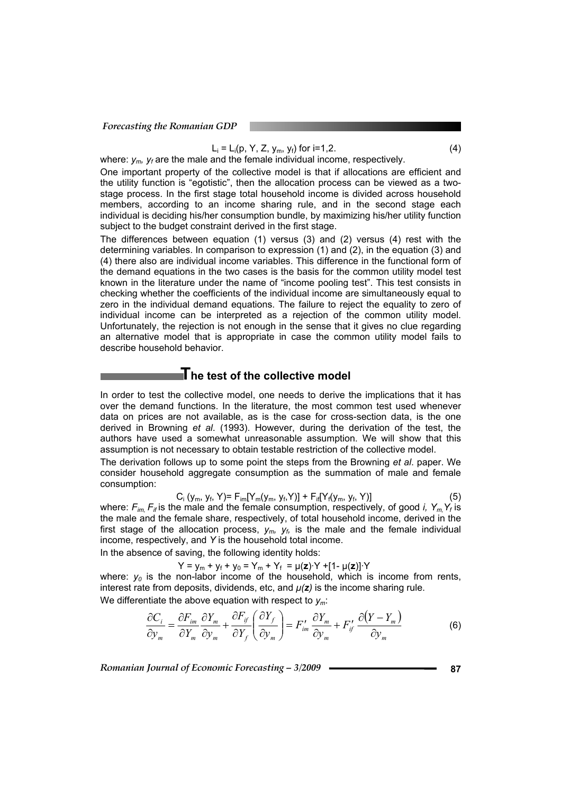#### Listen in the control of the United States  $= L_i(p, Y, Z, y_m, y_f)$  for  $i=1,2$ . (4)

where:  $y_m$ ,  $y_f$  are the male and the female individual income, respectively.

One important property of the collective model is that if allocations are efficient and the utility function is "egotistic", then the allocation process can be viewed as a twostage process. In the first stage total household income is divided across household members, according to an income sharing rule, and in the second stage each individual is deciding his/her consumption bundle, by maximizing his/her utility function subject to the budget constraint derived in the first stage.

The differences between equation (1) versus (3) and (2) versus (4) rest with the determining variables. In comparison to expression (1) and (2), in the equation (3) and (4) there also are individual income variables. This difference in the functional form of the demand equations in the two cases is the basis for the common utility model test known in the literature under the name of "income pooling test". This test consists in checking whether the coefficients of the individual income are simultaneously equal to zero in the individual demand equations. The failure to reject the equality to zero of individual income can be interpreted as a rejection of the common utility model. Unfortunately, the rejection is not enough in the sense that it gives no clue regarding an alternative model that is appropriate in case the common utility model fails to describe household behavior.

### **The test of the collective model**

In order to test the collective model, one needs to derive the implications that it has over the demand functions. In the literature, the most common test used whenever data on prices are not available, as is the case for cross-section data, is the one derived in Browning *et al*. (1993). However, during the derivation of the test, the authors have used a somewhat unreasonable assumption. We will show that this assumption is not necessary to obtain testable restriction of the collective model.

The derivation follows up to some point the steps from the Browning *et al*. paper. We consider household aggregate consumption as the summation of male and female consumption:

$$
C_i (y_m, y_f, Y) = F_{im}[Y_m(y_m, y_f, Y)] + F_{if}[Y_f(y_m, y_f, Y)]
$$
\n(5)

where:  $F_{im} F_{if}$  is the male and the female consumption, respectively, of good *i*,  $Y_m Y_f$  is the male and the female share, respectively, of total household income, derived in the first stage of the allocation process,  $y_m$ ,  $y_f$ , is the male and the female individual income, respectively, and *Y* is the household total income.

In the absence of saving, the following identity holds:

 $Y = y_m + y_f + y_0 = Y_m + Y_f = \mu(z) \cdot Y + [1 - \mu(z)] \cdot Y$ 

where:  $y_0$  is the non-labor income of the household, which is income from rents, interest rate from deposits, dividends, etc, and  $\mu(z)$  is the income sharing rule.

We differentiate the above equation with respect to *ym*:

$$
\frac{\partial C_i}{\partial y_m} = \frac{\partial F_{im}}{\partial Y_m} \frac{\partial Y_m}{\partial y_m} + \frac{\partial F_{if}}{\partial Y_f} \left( \frac{\partial Y_f}{\partial y_m} \right) = F'_{im} \frac{\partial Y_m}{\partial y_m} + F'_{if} \frac{\partial (Y - Y_m)}{\partial y_m}
$$
(6)

*Romanian Journal of Economic Forecasting – 3/2009 and <b>12009 a 87*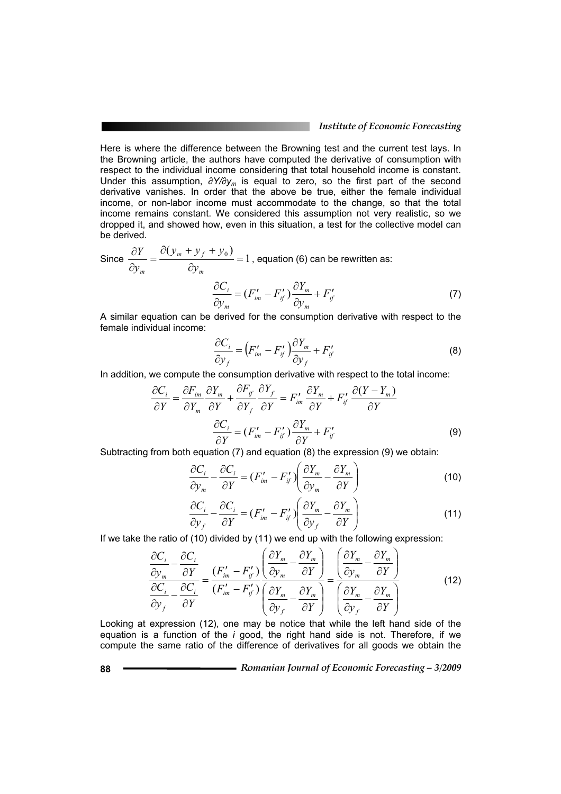### *Institute of Economic Forecasting*

Here is where the difference between the Browning test and the current test lays. In the Browning article, the authors have computed the derivative of consumption with respect to the individual income considering that total household income is constant. Under this assumption, *∂Y/∂ym* is equal to zero, so the first part of the second derivative vanishes. In order that the above be true, either the female individual income, or non-labor income must accommodate to the change, so that the total income remains constant. We considered this assumption not very realistic, so we dropped it, and showed how, even in this situation, a test for the collective model can be derived.

Since 
$$
\frac{\partial Y}{\partial y_m} = \frac{\partial (y_m + y_f + y_0)}{\partial y_m} = 1
$$
, equation (6) can be rewritten as:  
\n
$$
\frac{\partial C_i}{\partial y_m} = (F'_{im} - F'_{if}) \frac{\partial Y_m}{\partial y_m} + F'_{if}
$$
\n(7)

A similar equation can be derived for the consumption derivative with respect to the female individual income:

$$
\frac{\partial C_i}{\partial y_f} = \left( F'_{im} - F'_{if} \right) \frac{\partial Y_m}{\partial y_f} + F'_{if}
$$
\n(8)

In addition, we compute the consumption derivative with respect to the total income:

$$
\frac{\partial C_i}{\partial Y} = \frac{\partial F_{im}}{\partial Y_m} \frac{\partial Y_m}{\partial Y} + \frac{\partial F_{if}}{\partial Y_f} \frac{\partial Y_f}{\partial Y} = F'_{im} \frac{\partial Y_m}{\partial Y} + F'_{if} \frac{\partial (Y - Y_m)}{\partial Y}
$$

$$
\frac{\partial C_i}{\partial Y} = (F'_{im} - F'_{if}) \frac{\partial Y_m}{\partial Y} + F'_{if}
$$
(9)

Subtracting from both equation (7) and equation (8) the expression (9) we obtain:

$$
\frac{\partial C_i}{\partial y_m} - \frac{\partial C_i}{\partial Y} = (F'_{im} - F'_{ij}) \left( \frac{\partial Y_m}{\partial y_m} - \frac{\partial Y_m}{\partial Y} \right)
$$
(10)

$$
\frac{\partial C_i}{\partial y_f} - \frac{\partial C_i}{\partial Y} = (F'_{im} - F'_{if}) \left( \frac{\partial Y_m}{\partial y_f} - \frac{\partial Y_m}{\partial Y} \right)
$$
(11)

If we take the ratio of (10) divided by (11) we end up with the following expression:

$$
\frac{\partial C_i}{\partial y_m} - \frac{\partial C_i}{\partial Y} = \frac{(F'_{im} - F'_{ij})}{(F'_{im} - F'_{ij})} \left( \frac{\partial Y_m}{\partial y_m} - \frac{\partial Y_m}{\partial Y} \right) = \frac{\left( \frac{\partial Y_m}{\partial y_m} - \frac{\partial Y_m}{\partial Y} \right)}{\left( \frac{\partial Y_m}{\partial y_f} - \frac{\partial Y_m}{\partial Y} \right)} = \frac{\left( \frac{\partial Y_m}{\partial y_m} - \frac{\partial Y_m}{\partial Y} \right)}{\left( \frac{\partial Y_m}{\partial y_f} - \frac{\partial Y_m}{\partial Y} \right)}
$$
(12)

Looking at expression (12), one may be notice that while the left hand side of the equation is a function of the *i* good, the right hand side is not. Therefore, if we compute the same ratio of the difference of derivatives for all goods we obtain the

**88** *Romanian Journal of Economic Forecasting – 3/2009*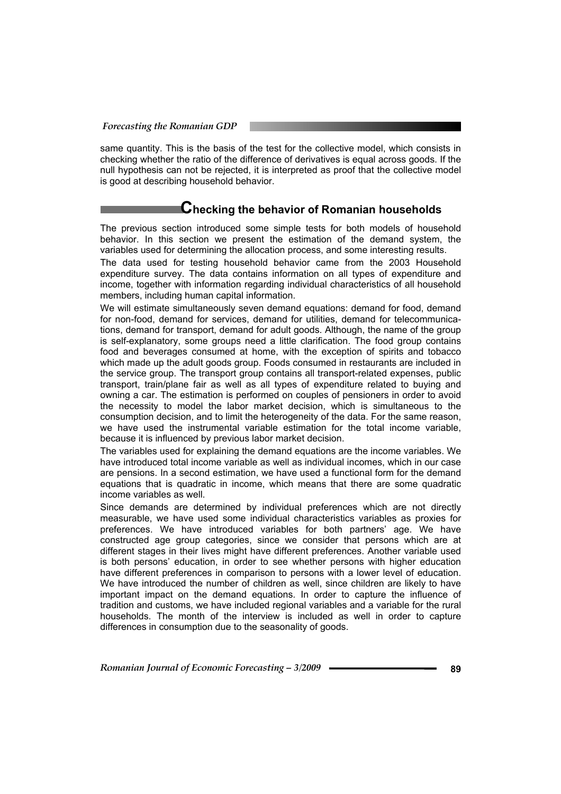same quantity. This is the basis of the test for the collective model, which consists in checking whether the ratio of the difference of derivatives is equal across goods. If the null hypothesis can not be rejected, it is interpreted as proof that the collective model is good at describing household behavior.

### **Checking the behavior of Romanian households**

The previous section introduced some simple tests for both models of household behavior. In this section we present the estimation of the demand system, the variables used for determining the allocation process, and some interesting results.

The data used for testing household behavior came from the 2003 Household expenditure survey. The data contains information on all types of expenditure and income, together with information regarding individual characteristics of all household members, including human capital information.

We will estimate simultaneously seven demand equations: demand for food, demand for non-food, demand for services, demand for utilities, demand for telecommunications, demand for transport, demand for adult goods. Although, the name of the group is self-explanatory, some groups need a little clarification. The food group contains food and beverages consumed at home, with the exception of spirits and tobacco which made up the adult goods group. Foods consumed in restaurants are included in the service group. The transport group contains all transport-related expenses, public transport, train/plane fair as well as all types of expenditure related to buying and owning a car. The estimation is performed on couples of pensioners in order to avoid the necessity to model the labor market decision, which is simultaneous to the consumption decision, and to limit the heterogeneity of the data. For the same reason, we have used the instrumental variable estimation for the total income variable, because it is influenced by previous labor market decision.

The variables used for explaining the demand equations are the income variables. We have introduced total income variable as well as individual incomes, which in our case are pensions. In a second estimation, we have used a functional form for the demand equations that is quadratic in income, which means that there are some quadratic income variables as well.

Since demands are determined by individual preferences which are not directly measurable, we have used some individual characteristics variables as proxies for preferences. We have introduced variables for both partners' age. We have constructed age group categories, since we consider that persons which are at different stages in their lives might have different preferences. Another variable used is both persons' education, in order to see whether persons with higher education have different preferences in comparison to persons with a lower level of education. We have introduced the number of children as well, since children are likely to have important impact on the demand equations. In order to capture the influence of tradition and customs, we have included regional variables and a variable for the rural households. The month of the interview is included as well in order to capture differences in consumption due to the seasonality of goods.

*Romanian Journal of Economic Forecasting – 3/2009* **89**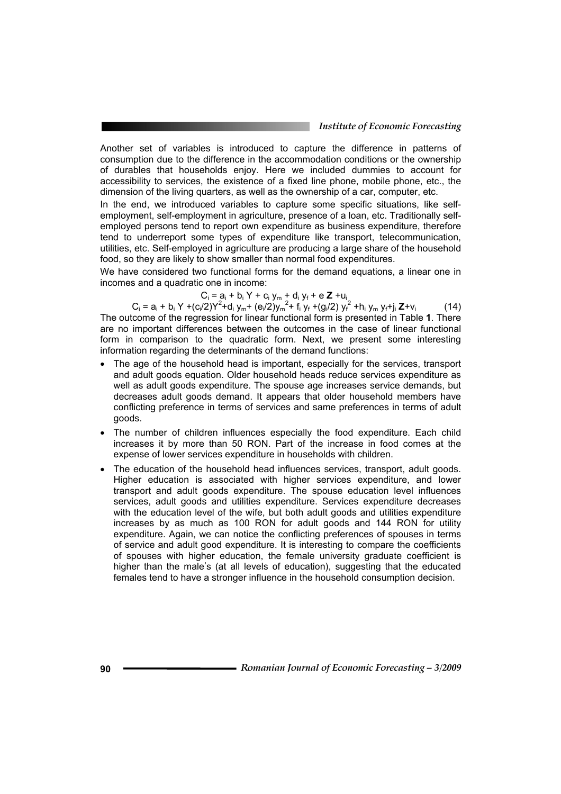Another set of variables is introduced to capture the difference in patterns of consumption due to the difference in the accommodation conditions or the ownership of durables that households enjoy. Here we included dummies to account for accessibility to services, the existence of a fixed line phone, mobile phone, etc., the dimension of the living quarters, as well as the ownership of a car, computer, etc.

In the end, we introduced variables to capture some specific situations, like selfemployment, self-employment in agriculture, presence of a loan, etc. Traditionally selfemployed persons tend to report own expenditure as business expenditure, therefore tend to underreport some types of expenditure like transport, telecommunication, utilities, etc. Self-employed in agriculture are producing a large share of the household food, so they are likely to show smaller than normal food expenditures.

We have considered two functional forms for the demand equations, a linear one in incomes and a quadratic one in income:

 $C_i = a_i + b_i Y + c_i y_m + d_i y_f + e Z + u_i$ 

 $C_i = a_i + b_i Y + (c_i/2)Y^2 + d_i y_m + (e_i/2)y_m^2 + f_i y_f + (g_i/2) y_f^2 + h_i y_m y_f + j_i Z + v_i$  (14) The outcome of the regression for linear functional form is presented in Table **1**. There are no important differences between the outcomes in the case of linear functional form in comparison to the quadratic form. Next, we present some interesting information regarding the determinants of the demand functions:

- The age of the household head is important, especially for the services, transport and adult goods equation. Older household heads reduce services expenditure as well as adult goods expenditure. The spouse age increases service demands, but decreases adult goods demand. It appears that older household members have conflicting preference in terms of services and same preferences in terms of adult goods.
- The number of children influences especially the food expenditure. Each child increases it by more than 50 RON. Part of the increase in food comes at the expense of lower services expenditure in households with children.
- The education of the household head influences services, transport, adult goods. Higher education is associated with higher services expenditure, and lower transport and adult goods expenditure. The spouse education level influences services, adult goods and utilities expenditure. Services expenditure decreases with the education level of the wife, but both adult goods and utilities expenditure increases by as much as 100 RON for adult goods and 144 RON for utility expenditure. Again, we can notice the conflicting preferences of spouses in terms of service and adult good expenditure. It is interesting to compare the coefficients of spouses with higher education, the female university graduate coefficient is higher than the male's (at all levels of education), suggesting that the educated females tend to have a stronger influence in the household consumption decision.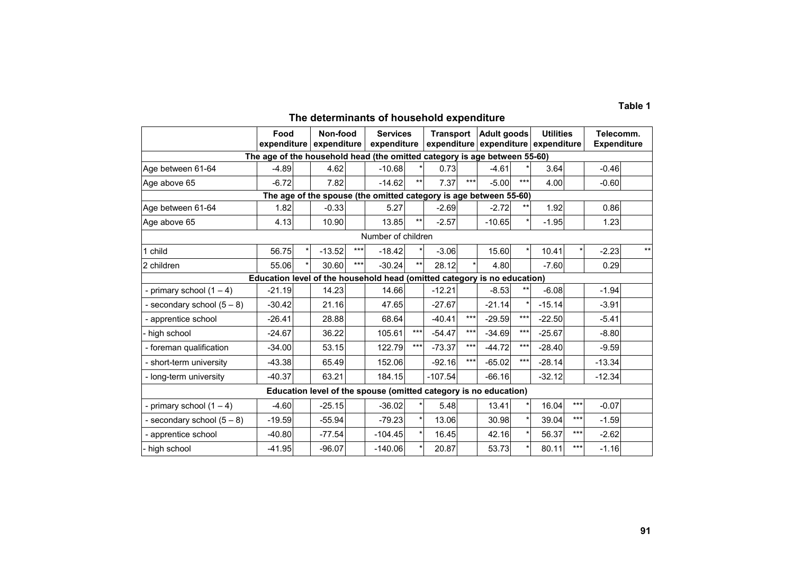#### **Table 1**

## **The determinants of household expenditure**

|                                                                          | Food<br>expenditure |  | Non-food<br>expenditure |       | <b>Services</b><br>expenditure                                            |              | <b>Transport</b><br>expenditure |       | <b>Adult goods</b><br>expenditure expenditure |       | <b>Utilities</b> |       | Telecomm.<br><b>Expenditure</b> |       |
|--------------------------------------------------------------------------|---------------------|--|-------------------------|-------|---------------------------------------------------------------------------|--------------|---------------------------------|-------|-----------------------------------------------|-------|------------------|-------|---------------------------------|-------|
|                                                                          |                     |  |                         |       | The age of the household head (the omitted category is age between 55-60) |              |                                 |       |                                               |       |                  |       |                                 |       |
| Age between 61-64                                                        | $-4.89$             |  | 4.62                    |       | $-10.68$                                                                  |              | 0.73                            |       | $-4.61$                                       |       | 3.64             |       | $-0.46$                         |       |
| Age above 65                                                             | $-6.72$             |  | 7.82                    |       | $-14.62$                                                                  | $***$        | 7.37                            | $***$ | $-5.00$                                       | ***   | 4.00             |       | $-0.60$                         |       |
| The age of the spouse (the omitted category is age between 55-60)        |                     |  |                         |       |                                                                           |              |                                 |       |                                               |       |                  |       |                                 |       |
| Age between 61-64                                                        | 1.82                |  | $-0.33$                 |       | 5.27                                                                      |              | $-2.69$                         |       | $-2.72$                                       | $***$ | 1.92             |       | 0.86                            |       |
| Age above 65                                                             | 4.13                |  | 10.90                   |       | 13.85                                                                     | $***$        | $-2.57$                         |       | $-10.65$                                      |       | $-1.95$          |       | 1.23                            |       |
| Number of children                                                       |                     |  |                         |       |                                                                           |              |                                 |       |                                               |       |                  |       |                                 |       |
| child                                                                    | 56.75               |  | $-13.52$                | $***$ | $-18.42$                                                                  |              | $-3.06$                         |       | 15.60                                         |       | 10.41            |       | $-2.23$                         | $***$ |
| 2 children                                                               | 55.06               |  | 30.60                   | $***$ | $-30.24$                                                                  | $\star\star$ | 28.12                           |       | 4.80                                          |       | $-7.60$          |       | 0.29                            |       |
| Education level of the household head (omitted category is no education) |                     |  |                         |       |                                                                           |              |                                 |       |                                               |       |                  |       |                                 |       |
| - primary school $(1 – 4)$                                               | $-21.19$            |  | 14.23                   |       | 14.66                                                                     |              | $-12.21$                        |       | $-8.53$                                       | $***$ | $-6.08$          |       | $-1.94$                         |       |
| - secondary school $(5-8)$                                               | $-30.42$            |  | 21.16                   |       | 47.65                                                                     |              | $-27.67$                        |       | $-21.14$                                      |       | $-15.14$         |       | $-3.91$                         |       |
| - apprentice school                                                      | $-26.41$            |  | 28.88                   |       | 68.64                                                                     |              | $-40.41$                        | $***$ | $-29.59$                                      | ***   | $-22.50$         |       | $-5.41$                         |       |
| high school                                                              | $-24.67$            |  | 36.22                   |       | 105.61                                                                    | $***$        | $-54.47$                        | $***$ | $-34.69$                                      | ***   | $-25.67$         |       | $-8.80$                         |       |
| - foreman qualification                                                  | $-34.00$            |  | 53.15                   |       | 122.79                                                                    | ***          | $-73.37$                        | $***$ | $-44.72$                                      | $***$ | $-28.40$         |       | $-9.59$                         |       |
| - short-term university                                                  | $-43.38$            |  | 65.49                   |       | 152.06                                                                    |              | $-92.16$                        | ***   | $-65.02$                                      | ***   | $-28.14$         |       | $-13.34$                        |       |
| - long-term university                                                   | $-40.37$            |  | 63.21                   |       | 184.15                                                                    |              | $-107.54$                       |       | $-66.16$                                      |       | $-32.12$         |       | $-12.34$                        |       |
| Education level of the spouse (omitted category is no education)         |                     |  |                         |       |                                                                           |              |                                 |       |                                               |       |                  |       |                                 |       |
| - primary school $(1 – 4)$                                               | $-4.60$             |  | $-25.15$                |       | $-36.02$                                                                  |              | 5.48                            |       | 13.41                                         |       | 16.04            | $***$ | $-0.07$                         |       |
| - secondary school $(5-8)$                                               | $-19.59$            |  | $-55.94$                |       | $-79.23$                                                                  | $\star$      | 13.06                           |       | 30.98                                         |       | 39.04            | ***   | $-1.59$                         |       |
| - apprentice school                                                      | $-40.80$            |  | $-77.54$                |       | $-104.45$                                                                 |              | 16.45                           |       | 42.16                                         |       | 56.37            | ***   | $-2.62$                         |       |
| high school                                                              | $-41.95$            |  | $-96.07$                |       | $-140.06$                                                                 |              | 20.87                           |       | 53.73                                         |       | 80.11            | ***   | $-1.16$                         |       |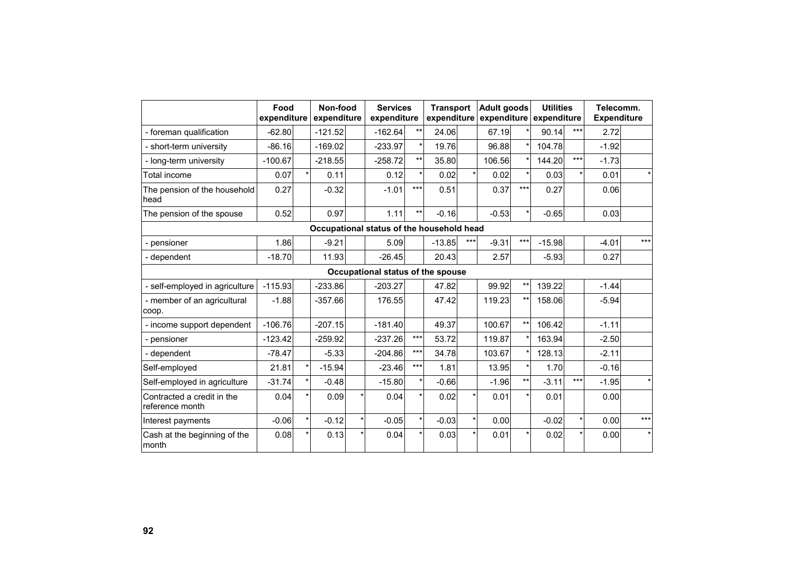|                                               | Food<br>expenditure                       |            | Non-food<br>expenditure |         | <b>Services</b><br>expenditure    |       | <b>Transport</b><br>expenditure |     | <b>Adult goods</b> |                 | <b>Utilities</b><br>expenditure expenditure |       | Telecomm.<br><b>Expenditure</b> |         |
|-----------------------------------------------|-------------------------------------------|------------|-------------------------|---------|-----------------------------------|-------|---------------------------------|-----|--------------------|-----------------|---------------------------------------------|-------|---------------------------------|---------|
| - foreman qualification                       | $-62.80$                                  |            | $-121.52$               |         | $-162.64$                         | $***$ | 24.06                           |     | 67.19              |                 | 90.14                                       | ***   | 2.72                            |         |
| - short-term university                       | $-86.16$                                  |            | $-169.02$               |         | $-233.97$                         |       | 19.76                           |     | 96.88              |                 | 104.78                                      |       | $-1.92$                         |         |
| - long-term university                        | $-100.67$                                 |            | $-218.55$               |         | $-258.72$                         | $***$ | 35.80                           |     | 106.56             |                 | 144.20                                      | $***$ | $-1.73$                         |         |
| Total income                                  | 0.07                                      |            | 0.11                    |         | 0.12                              |       | 0.02                            |     | 0.02               |                 | 0.03                                        |       | 0.01                            | $\star$ |
| The pension of the household<br>head          | 0.27                                      |            | $-0.32$                 |         | $-1.01$                           | ***   | 0.51                            |     | 0.37               | $***$           | 0.27                                        |       | 0.06                            |         |
| The pension of the spouse                     | 0.52                                      |            | 0.97                    |         | 1.11                              | $***$ | $-0.16$                         |     | $-0.53$            | $\star$         | $-0.65$                                     |       | 0.03                            |         |
|                                               | Occupational status of the household head |            |                         |         |                                   |       |                                 |     |                    |                 |                                             |       |                                 |         |
| - pensioner                                   | 1.86                                      |            | $-9.21$                 |         | 5.09                              |       | $-13.85$                        | *** | $-9.31$            | $***$           | $-15.98$                                    |       | $-4.01$                         | $***$   |
| - dependent                                   | $-18.70$                                  |            | 11.93                   |         | $-26.45$                          |       | 20.43                           |     | 2.57               |                 | $-5.93$                                     |       | 0.27                            |         |
|                                               |                                           |            |                         |         | Occupational status of the spouse |       |                                 |     |                    |                 |                                             |       |                                 |         |
| - self-employed in agriculture                | $-115.93$                                 |            | $-233.86$               |         | $-203.27$                         |       | 47.82                           |     | 99.92              | $***$           | 139.22                                      |       | $-1.44$                         |         |
| - member of an agricultural<br>coop.          | $-1.88$                                   |            | $-357.66$               |         | 176.55                            |       | 47.42                           |     | 119.23             | $***$           | 158.06                                      |       | $-5.94$                         |         |
| - income support dependent                    | $-106.76$                                 |            | $-207.15$               |         | $-181.40$                         |       | 49.37                           |     | 100.67             | $^{\star\star}$ | 106.42                                      |       | $-1.11$                         |         |
| - pensioner                                   | $-123.42$                                 |            | $-259.92$               |         | $-237.26$                         | $***$ | 53.72                           |     | 119.87             | $\star$         | 163.94                                      |       | $-2.50$                         |         |
| - dependent                                   | $-78.47$                                  |            | $-5.33$                 |         | $-204.86$                         | ***   | 34.78                           |     | 103.67             | $\star$         | 128.13                                      |       | $-2.11$                         |         |
| Self-employed                                 | 21.81                                     |            | $-15.94$                |         | $-23.46$                          | ***   | 1.81                            |     | 13.95              | $\star$         | 1.70                                        |       | $-0.16$                         |         |
| Self-employed in agriculture                  | $-31.74$                                  | $\star$    | $-0.48$                 |         | $-15.80$                          |       | $-0.66$                         |     | $-1.96$            | $***$           | $-3.11$                                     | $***$ | $-1.95$                         | $\star$ |
| Contracted a credit in the<br>reference month | 0.04                                      | $^{\star}$ | 0.09                    |         | 0.04                              |       | 0.02                            |     | 0.01               |                 | 0.01                                        |       | 0.00                            |         |
| Interest payments                             | $-0.06$                                   | $\star$    | $-0.12$                 | $\star$ | $-0.05$                           |       | $-0.03$                         |     | 0.00               |                 | $-0.02$                                     |       | 0.00                            | $***$   |
| Cash at the beginning of the<br>month         | 0.08                                      |            | 0.13                    |         | 0.04                              |       | 0.03                            |     | 0.01               |                 | 0.02                                        |       | 0.00                            | $\star$ |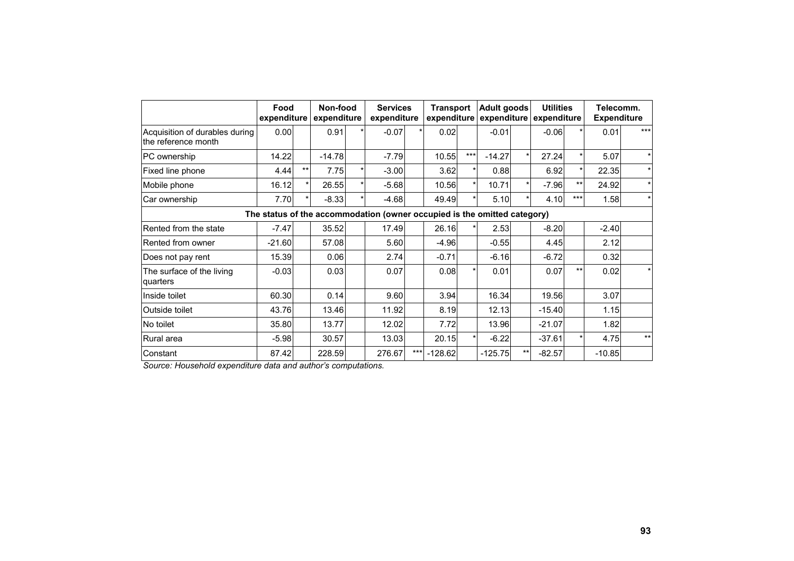|                                                       | Non-food<br>Food<br>expenditure<br>expenditure                           |         |          | <b>Services</b><br>expenditure |         | <b>Transport</b><br>expenditure |           | Adult goods |           | <b>Utilities</b><br>expenditure expenditure |          | Telecomm.<br><b>Expenditure</b> |          |              |
|-------------------------------------------------------|--------------------------------------------------------------------------|---------|----------|--------------------------------|---------|---------------------------------|-----------|-------------|-----------|---------------------------------------------|----------|---------------------------------|----------|--------------|
| Acquisition of durables during<br>the reference month | 0.00                                                                     |         | 0.91     |                                | $-0.07$ |                                 | 0.02      |             | $-0.01$   |                                             | $-0.06$  |                                 | 0.01     | $***$        |
| PC ownership                                          | 14.22                                                                    |         | $-14.78$ |                                | $-7.79$ |                                 | 10.55     | ***         | $-14.27$  | $\star$                                     | 27.24    |                                 | 5.07     | $\star$      |
| Fixed line phone                                      | 4.44                                                                     | $***$   | 7.75     |                                | $-3.00$ |                                 | 3.62      |             | 0.88      |                                             | 6.92     |                                 | 22.35    | $\star$      |
| Mobile phone                                          | 16.12                                                                    | $\star$ | 26.55    |                                | $-5.68$ |                                 | 10.56     |             | 10.71     | $\star$                                     | $-7.96$  | $***$                           | 24.92    | $\star$      |
| Car ownership                                         | 7.70                                                                     |         | $-8.33$  |                                | $-4.68$ |                                 | 49.49     |             | 5.10      | *                                           | 4.10     | $***$                           | 1.58     | $\star$      |
|                                                       | The status of the accommodation (owner occupied is the omitted category) |         |          |                                |         |                                 |           |             |           |                                             |          |                                 |          |              |
| Rented from the state                                 | $-7.47$                                                                  |         | 35.52    |                                | 17.49   |                                 | 26.16     |             | 2.53      |                                             | $-8.20$  |                                 | $-2.40$  |              |
| Rented from owner                                     | $-21.60$                                                                 |         | 57.08    |                                | 5.60    |                                 | $-4.96$   |             | $-0.55$   |                                             | 4.45     |                                 | 2.12     |              |
| Does not pay rent                                     | 15.39                                                                    |         | 0.06     |                                | 2.74    |                                 | $-0.71$   |             | $-6.16$   |                                             | $-6.72$  |                                 | 0.32     |              |
| The surface of the living<br>quarters                 | $-0.03$                                                                  |         | 0.03     |                                | 0.07    |                                 | 0.08      |             | 0.01      |                                             | 0.07     | $***$                           | 0.02     | $\star$      |
| Inside toilet                                         | 60.30                                                                    |         | 0.14     |                                | 9.60    |                                 | 3.94      |             | 16.34     |                                             | 19.56    |                                 | 3.07     |              |
| Outside toilet                                        | 43.76                                                                    |         | 13.46    |                                | 11.92   |                                 | 8.19      |             | 12.13     |                                             | $-15.40$ |                                 | 1.15     |              |
| No toilet                                             | 35.80                                                                    |         | 13.77    |                                | 12.02   |                                 | 7.72      |             | 13.96     |                                             | $-21.07$ |                                 | 1.82     |              |
| Rural area                                            | $-5.98$                                                                  |         | 30.57    |                                | 13.03   |                                 | 20.15     |             | $-6.22$   |                                             | $-37.61$ |                                 | 4.75     | $\star\star$ |
| Constant                                              | 87.42                                                                    |         | 228.59   |                                | 276.67  | $***$                           | $-128.62$ |             | $-125.75$ | $***$                                       | $-82.57$ |                                 | $-10.85$ |              |

*Source: Household expenditure data and author's computations.*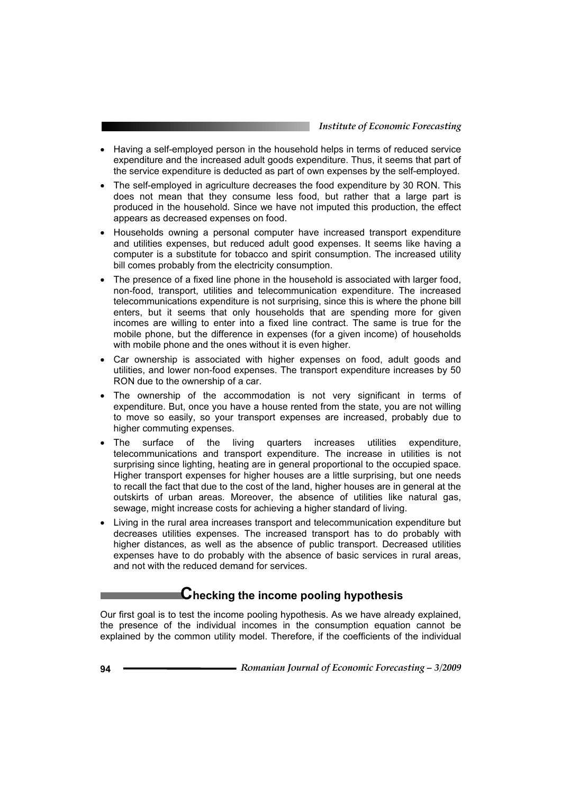- Having a self-employed person in the household helps in terms of reduced service expenditure and the increased adult goods expenditure. Thus, it seems that part of the service expenditure is deducted as part of own expenses by the self-employed.
- The self-employed in agriculture decreases the food expenditure by 30 RON. This does not mean that they consume less food, but rather that a large part is produced in the household. Since we have not imputed this production, the effect appears as decreased expenses on food.
- Households owning a personal computer have increased transport expenditure and utilities expenses, but reduced adult good expenses. It seems like having a computer is a substitute for tobacco and spirit consumption. The increased utility bill comes probably from the electricity consumption.
- The presence of a fixed line phone in the household is associated with larger food, non-food, transport, utilities and telecommunication expenditure. The increased telecommunications expenditure is not surprising, since this is where the phone bill enters, but it seems that only households that are spending more for given incomes are willing to enter into a fixed line contract. The same is true for the mobile phone, but the difference in expenses (for a given income) of households with mobile phone and the ones without it is even higher.
- Car ownership is associated with higher expenses on food, adult goods and utilities, and lower non-food expenses. The transport expenditure increases by 50 RON due to the ownership of a car.
- The ownership of the accommodation is not very significant in terms of expenditure. But, once you have a house rented from the state, you are not willing to move so easily, so your transport expenses are increased, probably due to higher commuting expenses.
- The surface of the living quarters increases utilities expenditure, telecommunications and transport expenditure. The increase in utilities is not surprising since lighting, heating are in general proportional to the occupied space. Higher transport expenses for higher houses are a little surprising, but one needs to recall the fact that due to the cost of the land, higher houses are in general at the outskirts of urban areas. Moreover, the absence of utilities like natural gas, sewage, might increase costs for achieving a higher standard of living.
- Living in the rural area increases transport and telecommunication expenditure but decreases utilities expenses. The increased transport has to do probably with higher distances, as well as the absence of public transport. Decreased utilities expenses have to do probably with the absence of basic services in rural areas, and not with the reduced demand for services.

### **Checking the income pooling hypothesis**

Our first goal is to test the income pooling hypothesis. As we have already explained, the presence of the individual incomes in the consumption equation cannot be explained by the common utility model. Therefore, if the coefficients of the individual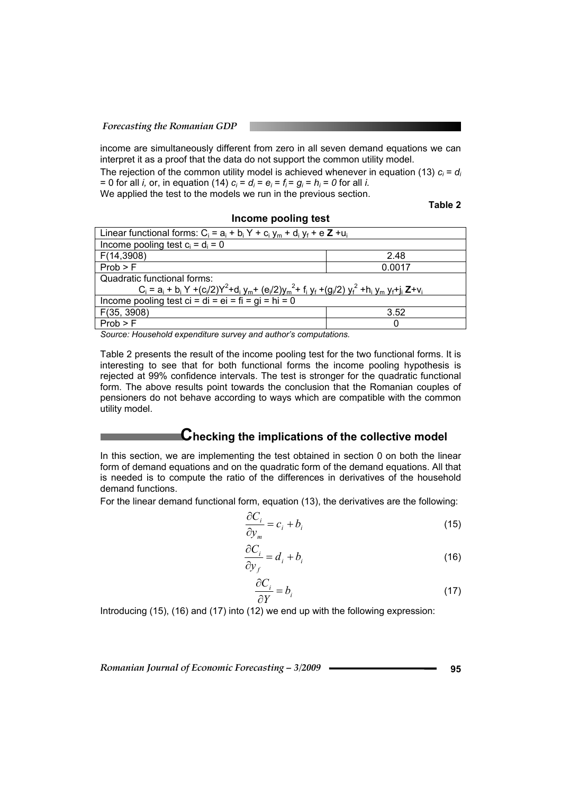*Forecasting the Romanian GDP* 

income are simultaneously different from zero in all seven demand equations we can interpret it as a proof that the data do not support the common utility model.

The rejection of the common utility model is achieved whenever in equation (13) *ci = di* = 0 for all *i*, or, in equation (14)  $c_i = d_i = e_i = f_i = g_i = h_i = 0$  for all *i*. We applied the test to the models we run in the previous section.

**Table 2** 

|  | Income pooling test |  |
|--|---------------------|--|
|--|---------------------|--|

| Linear functional forms: $C_i = a_i + b_i Y + c_i y_m + d_i y_f + e Z + u_i$                                    |      |  |  |  |  |  |  |
|-----------------------------------------------------------------------------------------------------------------|------|--|--|--|--|--|--|
| Income pooling test $c_i = d_i = 0$                                                                             |      |  |  |  |  |  |  |
| F(14,3908)                                                                                                      | 2.48 |  |  |  |  |  |  |
| Prob > F<br>0.0017                                                                                              |      |  |  |  |  |  |  |
| Quadratic functional forms:                                                                                     |      |  |  |  |  |  |  |
| $C_i = a_i + b_i Y + (c_i/2)Y^2 + d_i y_m + (e_i/2)y_m^2 + f_i y_f + (g_i/2) y_f^2 + h_i y_m y_f + i_k Z + v_i$ |      |  |  |  |  |  |  |
| Income pooling test ci = di = ei = fi = gi = hi = 0                                                             |      |  |  |  |  |  |  |
| F(35, 3908)<br>3.52                                                                                             |      |  |  |  |  |  |  |
| Prob > F<br>0                                                                                                   |      |  |  |  |  |  |  |
|                                                                                                                 |      |  |  |  |  |  |  |

*Source: Household expenditure survey and author's computations.* 

Table 2 presents the result of the income pooling test for the two functional forms. It is interesting to see that for both functional forms the income pooling hypothesis is rejected at 99% confidence intervals. The test is stronger for the quadratic functional form. The above results point towards the conclusion that the Romanian couples of pensioners do not behave according to ways which are compatible with the common utility model.

### **Checking the implications of the collective model**

In this section, we are implementing the test obtained in section 0 on both the linear form of demand equations and on the quadratic form of the demand equations. All that is needed is to compute the ratio of the differences in derivatives of the household demand functions.

For the linear demand functional form, equation (13), the derivatives are the following:

$$
\frac{\partial C_i}{\partial y_m} = c_i + b_i \tag{15}
$$

$$
\frac{\partial C_i}{\partial y_f} = d_i + b_i \tag{16}
$$

$$
\frac{\partial C_i}{\partial Y} = b_i \tag{17}
$$

Introducing (15), (16) and (17) into (12) we end up with the following expression:

*Romanian Journal of Economic Forecasting – 3/2009* **95**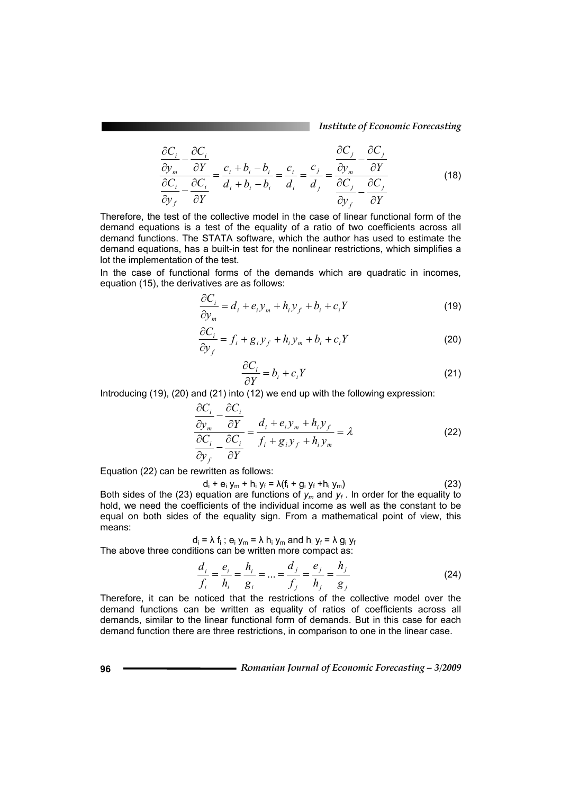*Institute of Economic Forecasting*

$$
\frac{\partial C_i}{\partial y_m} - \frac{\partial C_i}{\partial Y} = \frac{c_i + b_i - b_i}{d_i + b_i - b_i} = \frac{c_i}{d_i} = \frac{c_j}{d_j} = \frac{\frac{\partial C_j}{\partial y_m} - \frac{\partial C_j}{\partial Y}}{\frac{\partial C_j}{\partial y_f} - \frac{\partial C_j}{\partial Y}}
$$
(18)

Therefore, the test of the collective model in the case of linear functional form of the demand equations is a test of the equality of a ratio of two coefficients across all demand functions. The STATA software, which the author has used to estimate the demand equations, has a built-in test for the nonlinear restrictions, which simplifies a lot the implementation of the test.

In the case of functional forms of the demands which are quadratic in incomes, equation (15), the derivatives are as follows:

$$
\frac{\partial C_i}{\partial y_m} = d_i + e_i y_m + h_i y_f + b_i + c_i Y \tag{19}
$$

$$
\frac{\partial C_i}{\partial y_f} = f_i + g_i y_f + h_i y_m + b_i + c_i Y \tag{20}
$$

$$
\frac{\partial C_i}{\partial Y} = b_i + c_i Y \tag{21}
$$

Introducing (19), (20) and (21) into (12) we end up with the following expression:

$$
\frac{\partial C_i}{\partial y_m} - \frac{\partial C_i}{\partial Y} = \frac{d_i + e_i y_m + h_i y_f}{f_i + g_i y_f + h_i y_m} = \lambda
$$
\n(22)

Equation (22) can be rewritten as follows:

di sebagai pengeranan di sebagai pengeranan di sebagai pengeranan di sebagai pengeranan di sebagai pengeranan <br>Sebagai pengeranan di sebagai pengeranan di sebagai pengeranan di sebagai pengeranan di sebagai pengeranan di  $+ e_i y_m + h_i y_f = \lambda (f_i + g_i y_f + h_i y_m)$  (23)

Both sides of the (23) equation are functions of *ym* and *yf* . In order for the equality to hold, we need the coefficients of the individual income as well as the constant to be equal on both sides of the equality sign. From a mathematical point of view, this means:

$$
d_i = \lambda f_i
$$
;  $e_i y_m = \lambda h_i y_m$  and  $h_i y_f = \lambda g_i y_f$ 

The above three conditions can be written more compact as:

$$
\frac{d_i}{f_i} = \frac{e_i}{h_i} = \frac{h_i}{g_i} = \dots = \frac{d_j}{f_j} = \frac{e_j}{h_j} = \frac{h_j}{g_j}
$$
(24)

Therefore, it can be noticed that the restrictions of the collective model over the demand functions can be written as equality of ratios of coefficients across all demands, similar to the linear functional form of demands. But in this case for each demand function there are three restrictions, in comparison to one in the linear case.

**96** *Romanian Journal of Economic Forecasting – 3/2009*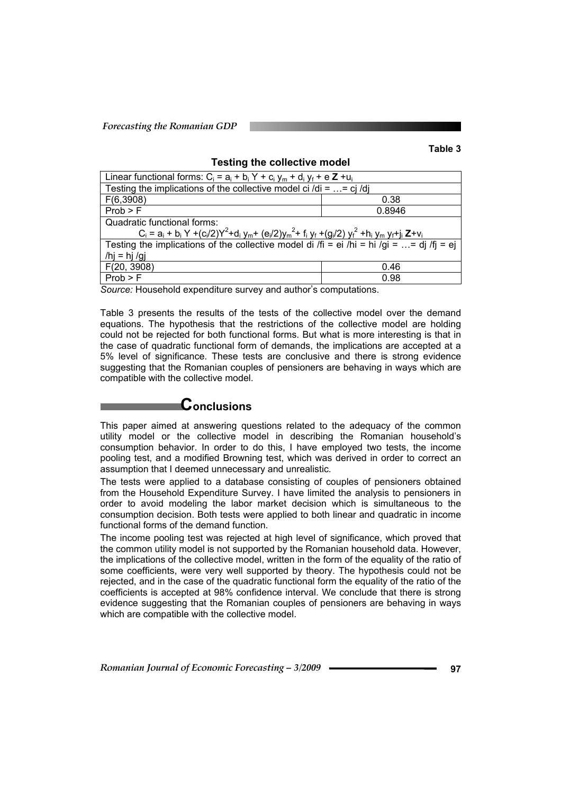**Table 3** 

| Linear functional forms: $C_i = a_i + b_i Y + c_i y_m + d_i y_f + e Z + u_i$                                    |        |  |  |  |  |  |  |
|-----------------------------------------------------------------------------------------------------------------|--------|--|--|--|--|--|--|
| Testing the implications of the collective model ci /di = $\ldots$ = cj /dj                                     |        |  |  |  |  |  |  |
| F(6,3908)                                                                                                       | 0.38   |  |  |  |  |  |  |
| Prob > F                                                                                                        | 0.8946 |  |  |  |  |  |  |
| Quadratic functional forms:                                                                                     |        |  |  |  |  |  |  |
| $C_i = a_i + b_i Y + (c_i/2)Y^2 + d_i y_m + (e_i/2)y_m^2 + f_i y_f + (g_i/2) y_f^2 + h_i y_m y_f + j_i Z + v_i$ |        |  |  |  |  |  |  |
| Testing the implications of the collective model di /fi = ei /hi = hi /gi = = dj /fj = ej                       |        |  |  |  |  |  |  |
| /hj = hj /gj                                                                                                    |        |  |  |  |  |  |  |
| F(20, 3908)                                                                                                     | 0.46   |  |  |  |  |  |  |
| Prob > F                                                                                                        | 0.98   |  |  |  |  |  |  |

**Testing the collective model** 

*Source:* Household expenditure survey and author's computations.

Table 3 presents the results of the tests of the collective model over the demand equations. The hypothesis that the restrictions of the collective model are holding could not be rejected for both functional forms. But what is more interesting is that in the case of quadratic functional form of demands, the implications are accepted at a 5% level of significance. These tests are conclusive and there is strong evidence suggesting that the Romanian couples of pensioners are behaving in ways which are compatible with the collective model.

### **Conclusions**

This paper aimed at answering questions related to the adequacy of the common utility model or the collective model in describing the Romanian household's consumption behavior. In order to do this, I have employed two tests, the income pooling test, and a modified Browning test, which was derived in order to correct an assumption that I deemed unnecessary and unrealistic.

The tests were applied to a database consisting of couples of pensioners obtained from the Household Expenditure Survey. I have limited the analysis to pensioners in order to avoid modeling the labor market decision which is simultaneous to the consumption decision. Both tests were applied to both linear and quadratic in income functional forms of the demand function.

The income pooling test was rejected at high level of significance, which proved that the common utility model is not supported by the Romanian household data. However, the implications of the collective model, written in the form of the equality of the ratio of some coefficients, were very well supported by theory. The hypothesis could not be rejected, and in the case of the quadratic functional form the equality of the ratio of the coefficients is accepted at 98% confidence interval. We conclude that there is strong evidence suggesting that the Romanian couples of pensioners are behaving in ways which are compatible with the collective model.

*Romanian Journal of Economic Forecasting – 3/2009* **97**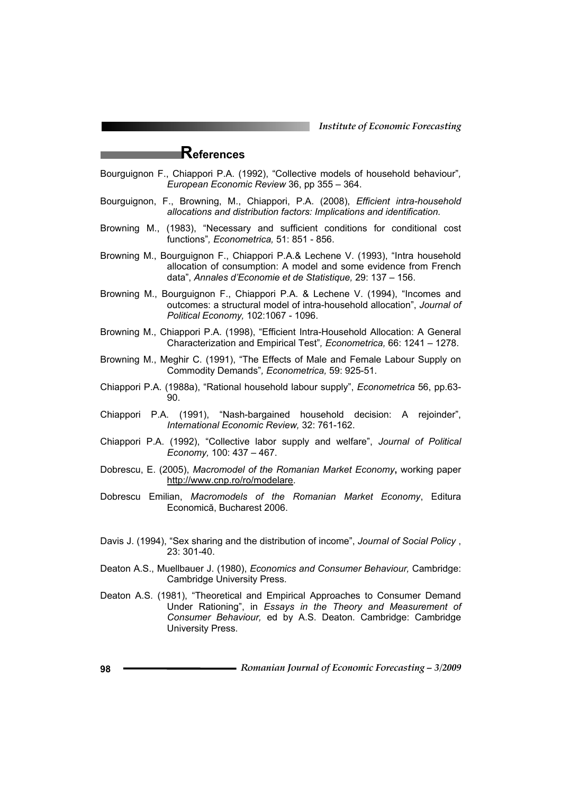*Institute of Economic Forecasting*

### **References**

- Bourguignon F., Chiappori P.A. (1992), "Collective models of household behaviour"*, European Economic Review* 36, pp 355 – 364.
- Bourguignon, F., Browning, M., Chiappori, P.A. (2008), *Efficient intra-household allocations and distribution factors: Implications and identification.*
- Browning M., (1983), "Necessary and sufficient conditions for conditional cost functions"*, Econometrica,* 51: 851 - 856.
- Browning M., Bourguignon F., Chiappori P.A.& Lechene V. (1993), "Intra household allocation of consumption: A model and some evidence from French data", *Annales d'Economie et de Statistique,* 29: 137 – 156.
- Browning M., Bourguignon F., Chiappori P.A. & Lechene V. (1994), "Incomes and outcomes: a structural model of intra-household allocation", *Journal of Political Economy,* 102:1067 - 1096.
- Browning M., Chiappori P.A. (1998), "Efficient Intra-Household Allocation: A General Characterization and Empirical Test"*, Econometrica,* 66: 1241 – 1278.
- Browning M., Meghir C. (1991), "The Effects of Male and Female Labour Supply on Commodity Demands"*, Econometrica,* 59: 925-51.
- Chiappori P.A. (1988a), "Rational household labour supply", *Econometrica* 56, pp.63- 90.
- Chiappori P.A. (1991), "Nash-bargained household decision: A rejoinder", *International Economic Review,* 32: 761-162.
- Chiappori P.A. (1992), "Collective labor supply and welfare", *Journal of Political Economy,* 100: 437 – 467.
- Dobrescu, E. (2005), *Macromodel of the Romanian Market Economy***,** working paper http://www.cnp.ro/ro/modelare.
- Dobrescu Emilian, *Macromodels of the Romanian Market Economy*, Editura Economică, Bucharest 2006.
- Davis J. (1994), "Sex sharing and the distribution of income", *Journal of Social Policy* , 23: 301-40.
- Deaton A.S., Muellbauer J. (1980), *Economics and Consumer Behaviour,* Cambridge: Cambridge University Press.
- Deaton A.S. (1981), "Theoretical and Empirical Approaches to Consumer Demand Under Rationing", in *Essays in the Theory and Measurement of Consumer Behaviour,* ed by A.S. Deaton. Cambridge: Cambridge University Press.
- **98** *Romanian Journal of Economic Forecasting 3/2009*